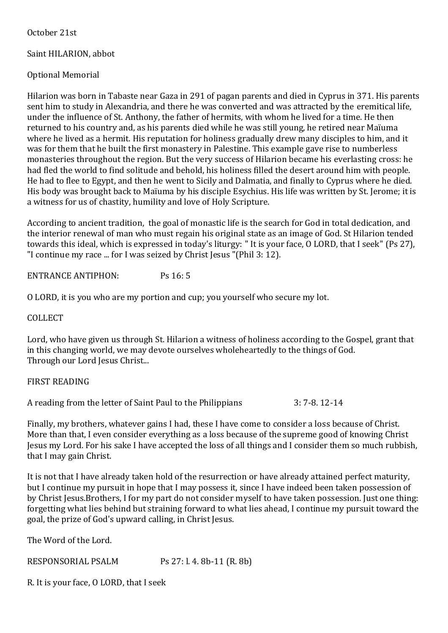October 21st

## Saint HILARION, abbot

# Optional Memorial

Hilarion was born in Tabaste near Gaza in 291 of pagan parents and died in Cyprus in 371. His parents sent him to study in Alexandria, and there he was converted and was attracted by the eremitical life, under the influence of St. Anthony, the father of hermits, with whom he lived for a time. He then returned to his country and, as his parents died while he was still young, he retired near Maïuma where he lived as a hermit. His reputation for holiness gradually drew many disciples to him, and it was for them that he built the first monastery in Palestine. This example gave rise to numberless monasteries throughout the region. But the very success of Hilarion became his everlasting cross: he had fled the world to find solitude and behold, his holiness filled the desert around him with people. He had to flee to Egypt, and then he went to Sicily and Dalmatia, and finally to Cyprus where he died. His body was brought back to Maïuma by his disciple Esychius. His life was written by St. Jerome; it is a witness for us of chastity, humility and love of Holy Scripture.

According to ancient tradition, the goal of monastic life is the search for God in total dedication, and the interior renewal of man who must regain his original state as an image of God. St Hilarion tended towards this ideal, which is expressed in today's liturgy: " It is your face, O LORD, that I seek" (Ps 27), "I continue my race ... for I was seized by Christ Jesus "(Phil 3: 12).

ENTRANCE ANTIPHON: Ps 16: 5

O LORD, it is you who are my portion and cup; you yourself who secure my lot.

COLLECT

Lord, who have given us through St. Hilarion a witness of holiness according to the Gospel, grant that in this changing world, we may devote ourselves wholeheartedly to the things of God. Through our Lord Jesus Christ...

## FIRST READING

A reading from the letter of Saint Paul to the Philippians 3: 7-8.12-14

Finally, my brothers, whatever gains I had, these I have come to consider a loss because of Christ. More than that, I even consider everything as a loss because of the supreme good of knowing Christ Jesus my Lord. For his sake I have accepted the loss of all things and I consider them so much rubbish, that I may gain Christ.

It is not that I have already taken hold of the resurrection or have already attained perfect maturity, but I continue my pursuit in hope that I may possess it, since I have indeed been taken possession of by Christ Jesus.Brothers, I for my part do not consider myself to have taken possession. Just one thing: forgetting what lies behind but straining forward to what lies ahead, I continue my pursuit toward the goal, the prize of God's upward calling, in Christ Jesus.

The Word of the Lord.

RESPONSORIAL PSALM Ps 27: l. 4. 8b-11 (R. 8b)

R. It is your face, O LORD, that I seek